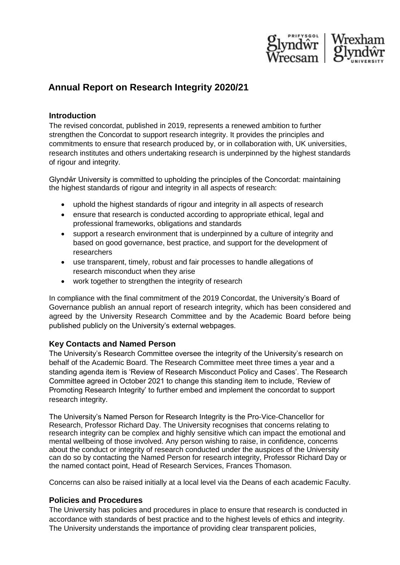

# **Annual Report on Research Integrity 2020/21**

## **Introduction**

The revised concordat, published in 2019, represents a renewed ambition to further strengthen the Concordat to support research integrity. It provides the principles and commitments to ensure that research produced by, or in collaboration with, UK universities, research institutes and others undertaking research is underpinned by the highest standards of rigour and integrity.

Glyndŵr University is committed to upholding the principles of the Concordat: maintaining the highest standards of rigour and integrity in all aspects of research:

- uphold the highest standards of rigour and integrity in all aspects of research
- ensure that research is conducted according to appropriate ethical, legal and professional frameworks, obligations and standards
- support a research environment that is underpinned by a culture of integrity and based on good governance, best practice, and support for the development of researchers
- use transparent, timely, robust and fair processes to handle allegations of research misconduct when they arise
- work together to strengthen the integrity of research

In compliance with the final commitment of the 2019 Concordat, the University's Board of Governance publish an annual report of research integrity, which has been considered and agreed by the University Research Committee and by the Academic Board before being published publicly on the University's external webpages.

## **Key Contacts and Named Person**

The University's Research Committee oversee the integrity of the University's research on behalf of the Academic Board. The Research Committee meet three times a year and a standing agenda item is 'Review of Research Misconduct Policy and Cases'. The Research Committee agreed in October 2021 to change this standing item to include, 'Review of Promoting Research Integrity' to further embed and implement the concordat to support research integrity.

The University's Named Person for Research Integrity is the Pro-Vice-Chancellor for Research, Professor Richard Day. The University recognises that concerns relating to research integrity can be complex and highly sensitive which can impact the emotional and mental wellbeing of those involved. Any person wishing to raise, in confidence, concerns about the conduct or integrity of research conducted under the auspices of the University can do so by contacting the Named Person for research integrity, Professor Richard Day or the named contact point, Head of Research Services, Frances Thomason.

Concerns can also be raised initially at a local level via the Deans of each academic Faculty.

## **Policies and Procedures**

The University has policies and procedures in place to ensure that research is conducted in accordance with standards of best practice and to the highest levels of ethics and integrity. The University understands the importance of providing clear transparent policies,